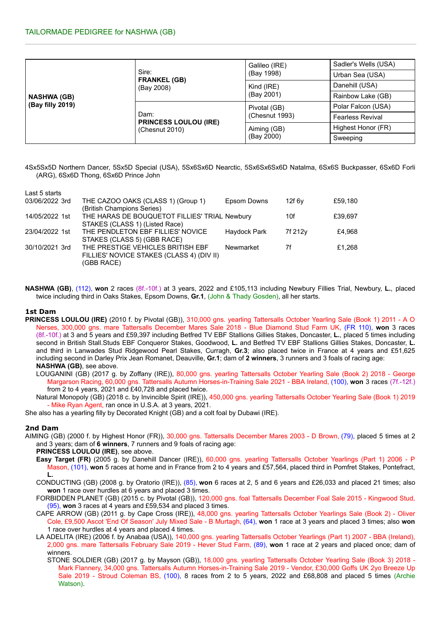| <b>NASHWA (GB)</b><br>(Bay filly 2019) | Sire:<br><b>FRANKEL (GB)</b><br>(Bay 2008)             | Galileo (IRE)  | Sadler's Wells (USA)    |  |
|----------------------------------------|--------------------------------------------------------|----------------|-------------------------|--|
|                                        |                                                        | (Bay 1998)     | Urban Sea (USA)         |  |
|                                        |                                                        | Kind (IRE)     | Danehill (USA)          |  |
|                                        |                                                        | (Bay 2001)     | Rainbow Lake (GB)       |  |
|                                        | Dam:<br><b>PRINCESS LOULOU (IRE)</b><br>(Chesnut 2010) | Pivotal (GB)   | Polar Falcon (USA)      |  |
|                                        |                                                        | (Chesnut 1993) | <b>Fearless Revival</b> |  |
|                                        |                                                        | Aiming (GB)    | Highest Honor (FR)      |  |
|                                        |                                                        | (Bay 2000)     | Sweeping                |  |

4Sx5Sx5D Northern Dancer, 5Sx5D Special (USA), 5Sx6Sx6D Nearctic, 5Sx6Sx6Sx6D Natalma, 6Sx6S Buckpasser, 6Sx6D Forli (ARG), 6Sx6D Thong, 6Sx6D Prince John

| THE CAZOO OAKS (CLASS 1) (Group 1)        | Epsom Downs         | 12f 6v                                        | £59,180 |
|-------------------------------------------|---------------------|-----------------------------------------------|---------|
| (British Champions Series)                |                     |                                               |         |
|                                           |                     | 10f                                           | £39.697 |
| STAKES (CLASS 1) (Listed Race)            |                     |                                               |         |
| THE PENDLETON EBF FILLIES' NOVICE         | <b>Haydock Park</b> | 7f 212y                                       | £4.968  |
| STAKES (CLASS 5) (GBB RACE)               |                     |                                               |         |
| THE PRESTIGE VEHICLES BRITISH EBF         | Newmarket           | 7f                                            | £1.268  |
| FILLIES' NOVICE STAKES (CLASS 4) (DIV II) |                     |                                               |         |
| (GBB RACE)                                |                     |                                               |         |
|                                           |                     | THE HARAS DE BOUQUETOT FILLIES' TRIAL Newbury |         |

**NASHWA (GB)**, (112), **won** 2 races (8f.-10f.) at 3 years, 2022 and £105,113 including Newbury Fillies Trial, Newbury, **L.**, placed twice including third in Oaks Stakes, Epsom Downs, **Gr.1**, (John & Thady Gosden), all her starts.

## **1st Dam**

- **PRINCESS LOULOU (IRE)** (2010 f. by Pivotal (GB)), 310,000 gns. yearling Tattersalls October Yearling Sale (Book 1) 2011 A O Nerses, 300,000 gns. mare Tattersalls December Mares Sale 2018 - Blue Diamond Stud Farm UK, (FR 110), **won** 3 races (8f.-10f.) at 3 and 5 years and £59,397 including Betfred TV EBF Stallions Gillies Stakes, Doncaster, **L.**, placed 5 times including second in British Stall.Studs EBF Conqueror Stakes, Goodwood, **L.** and Betfred TV EBF Stallions Gillies Stakes, Doncaster, **L.** and third in Lanwades Stud Ridgewood Pearl Stakes, Curragh, **Gr.3**; also placed twice in France at 4 years and £51,625 including second in Darley Prix Jean Romanet, Deauville, **Gr.1**; dam of **2 winners**, 3 runners and 3 foals of racing age: **NASHWA (GB)**, see above.
	- LOUGANINI (GB) (2017 g. by Zoffany (IRE)), 80,000 gns. yearling Tattersalls October Yearling Sale (Book 2) 2018 George Margarson Racing, 60,000 gns. Tattersalls Autumn Horses-in-Training Sale 2021 - BBA Ireland, (100), **won** 3 races (7f.-12f.) from 2 to 4 years, 2021 and £40,728 and placed twice.

Natural Monopoly (GB) (2018 c. by Invincible Spirit (IRE)), 450,000 gns. yearling Tattersalls October Yearling Sale (Book 1) 2019 - Mike Ryan Agent, ran once in U.S.A. at 3 years, 2021.

She also has a yearling filly by Decorated Knight (GB) and a colt foal by Dubawi (IRE).

## **2nd Dam**

AIMING (GB) (2000 f. by Highest Honor (FR)), 30,000 gns. Tattersalls December Mares 2003 - D Brown, (79), placed 5 times at 2 and 3 years; dam of **6 winners**, 7 runners and 9 foals of racing age:

**PRINCESS LOULOU (IRE)**, see above.

- **Easy Target (FR)** (2005 g. by Danehill Dancer (IRE)), 60,000 gns. yearling Tattersalls October Yearlings (Part 1) 2006 P Mason, (101), **won** 5 races at home and in France from 2 to 4 years and £57,564, placed third in Pomfret Stakes, Pontefract, **L.**
- CONDUCTING (GB) (2008 g. by Oratorio (IRE)), (85), **won** 6 races at 2, 5 and 6 years and £26,033 and placed 21 times; also **won** 1 race over hurdles at 6 years and placed 3 times.
- FORBIDDEN PLANET (GB) (2015 c. by Pivotal (GB)), 120,000 gns. foal Tattersalls December Foal Sale 2015 Kingwood Stud, (95), **won** 3 races at 4 years and £59,534 and placed 3 times.
- CAPE ARROW (GB) (2011 g. by Cape Cross (IRE)), 48,000 gns. yearling Tattersalls October Yearlings Sale (Book 2) Oliver Cole, £9,500 Ascot 'End Of Season' July Mixed Sale - B Murtagh, (64), **won** 1 race at 3 years and placed 3 times; also **won** 1 race over hurdles at 4 years and placed 4 times.
- LA ADELITA (IRE) (2006 f. by Anabaa (USA)), 140,000 gns. yearling Tattersalls October Yearlings (Part 1) 2007 BBA (Ireland), 2,000 gns. mare Tattersalls February Sale 2019 - Hever Stud Farm, (89), **won** 1 race at 2 years and placed once; dam of winners.
	- STONE SOLDIER (GB) (2017 g. by Mayson (GB)), 18,000 gns. yearling Tattersalls October Yearling Sale (Book 3) 2018 Mark Flannery, 34,000 gns. Tattersalls Autumn Horses-in-Training Sale 2019 - Vendor, £30,000 Goffs UK 2yo Breeze Up Sale 2019 - Stroud Coleman BS, (100), 8 races from 2 to 5 years, 2022 and £68,808 and placed 5 times (Archie Watson).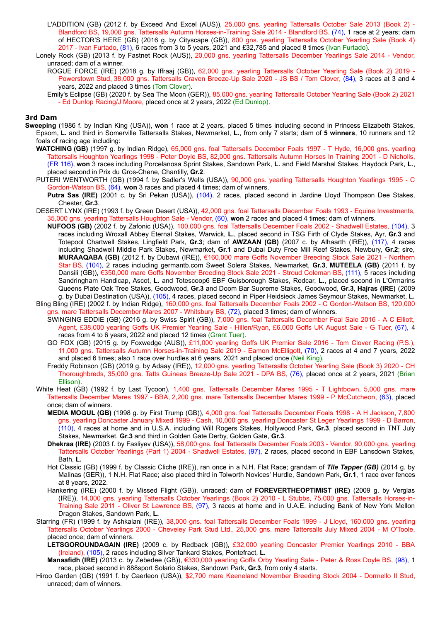- L'ADDITION (GB) (2012 f. by Exceed And Excel (AUS)), 25,000 gns. yearling Tattersalls October Sale 2013 (Book 2) Blandford BS, 19,000 gns. Tattersalls Autumn Horses-in-Training Sale 2014 - Blandford BS, (74), 1 race at 2 years; dam of HECTOR'S HERE (GB) (2016 g. by Cityscape (GB)), 800 gns. yearling Tattersalls October Yearling Sale (Book 4) 2017 - Ivan Furtado, (81), 6 races from 3 to 5 years, 2021 and £32,785 and placed 8 times (Ivan Furtado).
- Lonely Rock (GB) (2013 f. by Fastnet Rock (AUS)), 20,000 gns. yearling Tattersalls December Yearlings Sale 2014 Vendor, unraced; dam of a winner.
	- ROGUE FORCE (IRE) (2018 g. by Iffraaj (GB)), 62,000 gns. yearling Tattersalls October Yearling Sale (Book 2) 2019 Powerstown Stud, 38,000 gns. Tattersalls Craven Breeze-Up Sale 2020 - JS BS / Tom Clover, (84), 3 races at 3 and 4 years, 2022 and placed 3 times (Tom Clover).
	- Emily's Eclipse (GB) (2020 f. by Sea The Moon (GER)), 85,000 gns. yearling Tattersalls October Yearling Sale (Book 2) 2021 - Ed Dunlop Racing/J Moore, placed once at 2 years, 2022 (Ed Dunlop).

### **3rd Dam**

- **Sweeping** (1986 f. by Indian King (USA)), **won** 1 race at 2 years, placed 5 times including second in Princess Elizabeth Stakes, Epsom, **L.** and third in Somerville Tattersalls Stakes, Newmarket, **L.**, from only 7 starts; dam of **5 winners**, 10 runners and 12 foals of racing age including:
	- **WATCHING (GB)** (1997 g. by Indian Ridge), 65,000 gns. foal Tattersalls December Foals 1997 T Hyde, 16,000 gns. yearling Tattersalls Houghton Yearlings 1998 - Peter Doyle BS, 82,000 gns. Tattersalls Autumn Horses In Training 2001 - D Nicholls, (FR 116), **won** 3 races including Porcelanosa Sprint Stakes, Sandown Park, **L.** and Field Marshal Stakes, Haydock Park, **L.**, placed second in Prix du Gros-Chene, Chantilly, **Gr.2**.
	- PUTERI WENTWORTH (GB) (1994 f. by Sadler's Wells (USA)), 90,000 gns. yearling Tattersalls Houghton Yearlings 1995 C Gordon-Watson BS, (64), **won** 3 races and placed 4 times; dam of winners.
		- **Putra Sas (IRE)** (2001 c. by Sri Pekan (USA)), (104), 2 races, placed second in Jardine Lloyd Thompson Dee Stakes, Chester, **Gr.3**.
	- DESERT LYNX (IRE) (1993 f. by Green Desert (USA)), 42,000 gns. foal Tattersalls December Foals 1993 Equine Investments, 35,000 gns. yearling Tattersalls Houghton Sale - Vendor, (60), **won** 2 races and placed 4 times; dam of winners.
		- **NUFOOS (GB)** (2002 f. by Zafonic (USA)), 100,000 gns. foal Tattersalls December Foals 2002 Shadwell Estates, (104), 3 races including Wroxall Abbey Eternal Stakes, Warwick, **L.**, placed second in TSG Firth of Clyde Stakes, Ayr, **Gr.3** and Totepool Chartwell Stakes, Lingfield Park, **Gr.3**; dam of **AWZAAN (GB)** (2007 c. by Alhaarth (IRE)), (117), 4 races including Shadwell Middle Park Stakes, Newmarket, **Gr.1** and Dubai Duty Free Mill Reef Stakes, Newbury, **Gr.2**; sire, **MURAAQABA (GB)** (2012 f. by Dubawi (IRE)), €160,000 mare Goffs November Breeding Stock Sale 2021 - Northern Star BS, (104), 2 races including germantb.com Sweet Solera Stakes, Newmarket, **Gr.3**, **MUTEELA (GB)** (2011 f. by Dansili (GB)), €350,000 mare Goffs November Breeding Stock Sale 2021 - Stroud Coleman BS, (111), 5 races including Sandringham Handicap, Ascot, **L.** and Totescoop6 EBF Guisborough Stakes, Redcar, **L.**, placed second in L'Ormarins Queens Plate Oak Tree Stakes, Goodwood, **Gr.3** and Doom Bar Supreme Stakes, Goodwood, **Gr.3**, **Hajras (IRE)** (2009 g. by Dubai Destination (USA)), (105), 4 races, placed second in Piper Heidsieck James Seymour Stakes, Newmarket, **L.**
	- Bling Bling (IRE) (2002 f. by Indian Ridge), 160,000 gns. foal Tattersalls December Foals 2002 C Gordon-Watson BS, 120,000 gns. mare Tattersalls December Mares 2007 - Whitsbury BS, (72), placed 3 times; dam of winners.
		- SWINGING EDDIE (GB) (2016 g. by Swiss Spirit (GB)), 7,000 gns. foal Tattersalls December Foal Sale 2016 A C Elliott, Agent, £38,000 yearling Goffs UK Premier Yearling Sale - Hillen/Ryan, £6,000 Goffs UK August Sale - G Tuer, (67), 4 races from 4 to 6 years, 2022 and placed 12 times (Grant Tuer).
		- GO FOX (GB) (2015 g. by Foxwedge (AUS)), £11,000 yearling Goffs UK Premier Sale 2016 Tom Clover Racing (P.S.), 11,000 gns. Tattersalls Autumn Horses-in-Training Sale 2019 - Eamon McElligott, (70), 2 races at 4 and 7 years, 2022 and placed 6 times; also 1 race over hurdles at 6 years, 2021 and placed once (Neil King).
		- Freddy Robinson (GB) (2019 g. by Adaay (IRE)), 12,000 gns. yearling Tattersalls October Yearling Sale (Book 3) 2020 CH Thoroughbreds, 35,000 gns. Tatts Guineas Breeze-Up Sale 2021 - DPA BS, (76), placed once at 2 years, 2021 (Brian Ellison).
	- White Heat (GB) (1992 f. by Last Tycoon), 1,400 gns. Tattersalls December Mares 1995 T Lightbown, 5,000 gns. mare Tattersalls December Mares 1997 - BBA, 2,200 gns. mare Tattersalls December Mares 1999 - P McCutcheon, (63), placed once; dam of winners.
		- **MEDIA MOGUL (GB)** (1998 g. by First Trump (GB)), 4,000 gns. foal Tattersalls December Foals 1998 A H Jackson, 7,800 gns. yearling Doncaster January Mixed 1999 - Cash, 10,000 gns. yearling Doncaster St Leger Yearlings 1999 - D Barron, (110), 4 races at home and in U.S.A. including Will Rogers Stakes, Hollywood Park, **Gr.3**, placed second in TNT July Stakes, Newmarket, **Gr.3** and third in Golden Gate Derby, Golden Gate, **Gr.3**.
		- **Dhekraa (IRE)** (2003 f. by Fasliyev (USA)), 58,000 gns. foal Tattersalls December Foals 2003 Vendor, 90,000 gns. yearling Tattersalls October Yearlings (Part 1) 2004 - Shadwell Estates, (97), 2 races, placed second in EBF Lansdown Stakes, Bath, **L.**
		- Hot Classic (GB) (1999 f. by Classic Cliche (IRE)), ran once in a N.H. Flat Race; grandam of *Tile Tapper (GB)* (2014 g. by Malinas (GER)), 1 N.H. Flat Race; also placed third in Tolworth Novices' Hurdle, Sandown Park, **Gr.1**, 1 race over fences at 8 years, 2022.
		- Hankering (IRE) (2000 f. by Missed Flight (GB)), unraced; dam of **FOREVERTHEOPTIMIST (IRE)** (2009 g. by Verglas (IRE)), 14,000 gns. yearling Tattersalls October Yearlings (Book 2) 2010 - L Stubbs, 75,000 gns. Tattersalls Horses-in-Training Sale 2011 - Oliver St Lawrence BS, (97), 3 races at home and in U.A.E. including Bank of New York Mellon Dragon Stakes, Sandown Park, **L.**
	- Starring (FR) (1999 f. by Ashkalani (IRE)), 38,000 gns. foal Tattersalls December Foals 1999 J Lloyd, 160,000 gns. yearling Tattersalls October Yearlings 2000 - Cheveley Park Stud Ltd., 25,000 gns. mare Tattersalls July Mixed 2004 - M O'Toole, placed once; dam of winners.
		- **LETSGOROUNDAGAIN (IRE)** (2009 c. by Redback (GB)), £32,000 yearling Doncaster Premier Yearlings 2010 BBA (Ireland), (105), 2 races including Silver Tankard Stakes, Pontefract, **L.**
		- **Manaafidh (IRE)** (2013 c. by Zebedee (GB)), €330,000 yearling Goffs Orby Yearling Sale Peter & Ross Doyle BS, (98), 1 race, placed second in 888sport Solario Stakes, Sandown Park, **Gr.3**, from only 4 starts.
	- Hiroo Garden (GB) (1991 f. by Caerleon (USA)), \$2,700 mare Keeneland November Breeding Stock 2004 Dormello II Stud, unraced; dam of winners.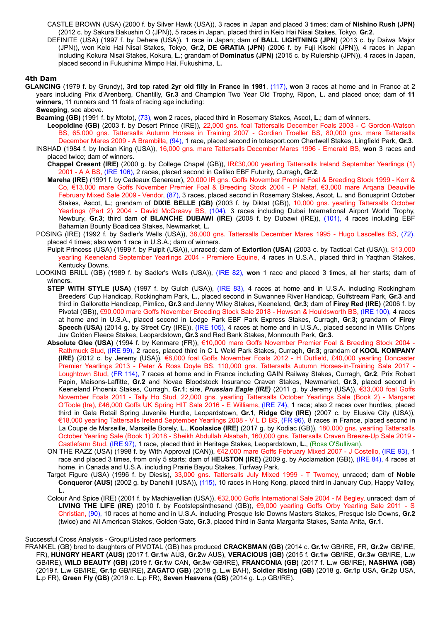CASTLE BROWN (USA) (2000 f. by Silver Hawk (USA)), 3 races in Japan and placed 3 times; dam of **Nishino Rush (JPN)** (2012 c. by Sakura Bakushin O (JPN)), 5 races in Japan, placed third in Keio Hai Nisai Stakes, Tokyo, **Gr.2**.

DEFINITE (USA) (1997 f. by Dehere (USA)), 1 race in Japan; dam of **BALL LIGHTNING (JPN)** (2013 c. by Daiwa Major (JPN)), won Keio Hai Nisai Stakes, Tokyo, **Gr.2**, **DE GRATIA (JPN)** (2006 f. by Fuji Kiseki (JPN)), 4 races in Japan including Kokura Nisai Stakes, Kokura, **L.**; grandam of **Dominatus (JPN)** (2015 c. by Rulership (JPN)), 4 races in Japan, placed second in Fukushima Mimpo Hai, Fukushima, **L.**

# **4th Dam**

**GLANCING** (1979 f. by Grundy), **3rd top rated 2yr old filly in France in 1981**, (117), **won** 3 races at home and in France at 2 years including Prix d'Arenberg, Chantilly, **Gr.3** and Champion Two Year Old Trophy, Ripon, **L.** and placed once; dam of **11 winners**, 11 runners and 11 foals of racing age including:

**Sweeping**, see above.

**Beaming (GB)** (1991 f. by Mtoto), (73), **won** 2 races, placed third in Rosemary Stakes, Ascot, **L.**; dam of winners.

- **Leopoldine (GB)** (2003 f. by Desert Prince (IRE)), 22,000 gns. foal Tattersalls December Foals 2003 C Gordon-Watson BS, 65,000 gns. Tattersalls Autumn Horses in Training 2007 - Gordian Troeller BS, 80,000 gns. mare Tattersalls December Mares 2009 - A Brambilla, (94), 1 race, placed second in totesport.com Chartwell Stakes, Lingfield Park, **Gr.3**.
- INSHAD (1984 f. by Indian King (USA)), 16,000 gns. mare Tattersalls December Mares 1996 Emerald BS, **won** 3 races and placed twice; dam of winners. **Chappel Cresent (IRE)** (2000 g. by College Chapel (GB)), IR£30,000 yearling Tattersalls Ireland September Yearlings (1)
	- 2001 A A BS, (IRE 106), 2 races, placed second in Galileo EBF Futurity, Curragh, **Gr.2**.
	- **Mareha (IRE)** (1991 f. by Cadeaux Genereux), 20,000 IR gns. Goffs November Premier Foal & Breeding Stock 1999 Kerr & Co, €13,000 mare Goffs November Premier Foal & Breeding Stock 2004 - P Nataf, €3,000 mare Arqana Deauville February Mixed Sale 2009 - Vendor, (87), 3 races, placed second in Rosemary Stakes, Ascot, **L.** and Bonusprint October Stakes, Ascot, **L.**; grandam of **DIXIE BELLE (GB)** (2003 f. by Diktat (GB)), 10,000 gns. yearling Tattersalls October Yearlings (Part 2) 2004 - David McGreavy BS, (104), 3 races including Dubai International Airport World Trophy, Newbury, **Gr.3**; third dam of **BLANCHE DUBAWI (IRE)** (2008 f. by Dubawi (IRE)), (101), 4 races including EBF Bahamian Bounty Boadicea Stakes, Newmarket, **L.**
- POSING (IRE) (1992 f. by Sadler's Wells (USA)), 38,000 gns. Tattersalls December Mares 1995 Hugo Lascelles BS, (72), placed 4 times; also **won** 1 race in U.S.A.; dam of winners.

Pulpit Princess (USA) (1999 f. by Pulpit (USA)), unraced; dam of **Extortion (USA)** (2003 c. by Tactical Cat (USA)), \$13,000 yearling Keeneland September Yearlings 2004 - Premiere Equine, 4 races in U.S.A., placed third in Yaqthan Stakes, Kentucky Downs.

- LOOKING BRILL (GB) (1989 f. by Sadler's Wells (USA)), (IRE 82), **won** 1 race and placed 3 times, all her starts; dam of winners.
	- **STEP WITH STYLE (USA)** (1997 f. by Gulch (USA)), (IRE 83), 4 races at home and in U.S.A. including Rockingham Breeders' Cup Handicap, Rockingham Park, **L.**, placed second in Suwannee River Handicap, Gulfstream Park, **Gr.3** and third in Gallorette Handicap, Pimlico, **Gr.3** and Jenny Wiley Stakes, Keeneland, **Gr.3**; dam of **Firey Red (IRE)** (2006 f. by Pivotal (GB)), €90,000 mare Goffs November Breeding Stock Sale 2018 - Howson & Houldsworth BS, (IRE 100), 4 races at home and in U.S.A., placed second in Lodge Park EBF Park Express Stakes, Curragh, **Gr.3**; grandam of **Firey Speech (USA)** (2014 g. by Street Cry (IRE)), (IRE 105), 4 races at home and in U.S.A., placed second in Willis Ch'pns Juv Golden Fleece Stakes, Leopardstown, **Gr.3** and Red Bank Stakes, Monmouth Park, **Gr.3**.
	- **Absolute Glee (USA)** (1994 f. by Kenmare (FR)), €10,000 mare Goffs November Premier Foal & Breeding Stock 2004 Rathmuck Stud, (IRE 99), 2 races, placed third in C L Weld Park Stakes, Curragh, **Gr.3**; grandam of **KOOL KOMPANY (IRE)** (2012 c. by Jeremy (USA)), €8,000 foal Goffs November Foals 2012 - H Dutfield, £40,000 yearling Doncaster Premier Yearlings 2013 - Peter & Ross Doyle BS, 110,000 gns. Tattersalls Autumn Horses-in-Training Sale 2017 - Loughtown Stud, (FR 114), 7 races at home and in France including GAIN Railway Stakes, Curragh, **Gr.2**, Prix Robert Papin, Maisons-Laffitte, **Gr.2** and Novae Bloodstock Insurance Craven Stakes, Newmarket, **Gr.3**, placed second in Keeneland Phoenix Stakes, Curragh, **Gr.1**; sire, *Prussian Eagle (IRE)* (2011 g. by Jeremy (USA)), €33,000 foal Goffs November Foals 2011 - Tally Ho Stud, 22,000 gns. yearling Tattersalls October Yearlings Sale (Book 2) - Margaret O'Toole (Ire), £46,000 Goffs UK Spring HIT Sale 2016 - E Williams, (IRE 74), 1 race; also 2 races over hurdles, placed third in Gala Retail Spring Juvenile Hurdle, Leopardstown, **Gr.1**, **Ridge City (IRE)** (2007 c. by Elusive City (USA)), €18,000 yearling Tattersalls Ireland September Yearlings 2008 - V L D BS, (FR 96), 8 races in France, placed second in La Coupe de Marseille, Marseille Borely, **L.**, **Koolasice (IRE)** (2017 g. by Kodiac (GB)), 180,000 gns. yearling Tattersalls October Yearling Sale (Book 1) 2018 - Sheikh Abdullah Alsabah, 160,000 gns. Tattersalls Craven Breeze-Up Sale 2019 - Castlefarm Stud, (IRE 97), 1 race, placed third in Heritage Stakes, Leopardstown, **L.**, (Ross O'Sullivan).
	- ON THE RAZZ (USA) (1998 f. by With Approval (CAN)), €42,000 mare Goffs February Mixed 2007 J Costello, (IRE 93), 1 race and placed 3 times, from only 5 starts; dam of **HEUSTON (IRE)** (2009 g. by Acclamation (GB)), (IRE 84), 4 races at home, in Canada and U.S.A. including Prairie Bayou Stakes, Turfway Park.
	- Target Figure (USA) (1996 f. by Diesis), 33,000 gns. Tattersalls July Mixed 1999 T Twomey, unraced; dam of **Noble Conqueror (AUS)** (2002 g. by Danehill (USA)), (115), 10 races in Hong Kong, placed third in January Cup, Happy Valley, **L.**
	- Colour And Spice (IRE) (2001 f. by Machiavellian (USA)), €32,000 Goffs International Sale 2004 M Begley, unraced; dam of **LIVING THE LIFE (IRE)** (2010 f. by Footstepsinthesand (GB)), €9,000 yearling Goffs Orby Yearling Sale 2011 - S Christian, (90), 10 races at home and in U.S.A. including Presque Isle Downs Masters Stakes, Presque Isle Downs, **Gr.2** (twice) and All American Stakes, Golden Gate, **Gr.3**, placed third in Santa Margarita Stakes, Santa Anita, **Gr.1**.

#### Successful Cross Analysis - Group/Listed race performers

FRANKEL (GB) bred to daughters of PIVOTAL (GB) has produced **CRACKSMAN (GB)** (2014 c. **Gr.1**w GB/IRE, FR, **Gr.2**w GB/IRE, FR), **HUNGRY HEART (AUS)** (2017 f. **Gr.1**w AUS, **Gr.2**w AUS), **VERACIOUS (GB)** (2015 f. **Gr.1**w GB/IRE, **Gr.3**w GB/IRE, **L.**w GB/IRE), **WILD BEAUTY (GB)** (2019 f. **Gr.1**w CAN, **Gr.3**w GB/IRE), **FRANCONIA (GB)** (2017 f. **L.**w GB/IRE), **NASHWA (GB)** (2019 f. **L.**w GB/IRE, **Gr.1**p GB/IRE), **ZAGATO (GB)** (2018 g. **L.**w BAH), **Soldier Rising (GB)** (2018 g. **Gr.1**p USA, **Gr.2**p USA, **L.**p FR), **Green Fly (GB)** (2019 c. **L.**p FR), **Seven Heavens (GB)** (2014 g. **L.**p GB/IRE).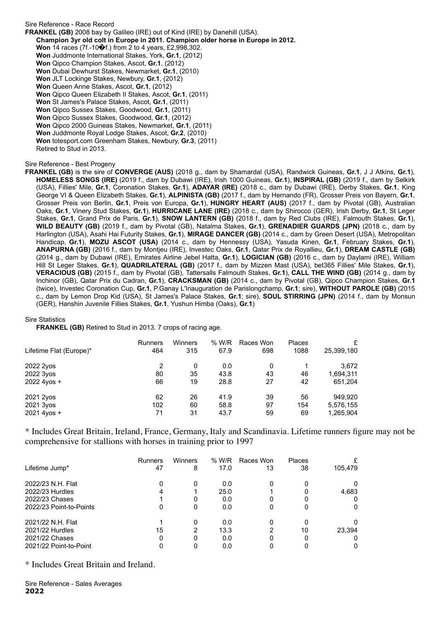Sire Reference - Race Record **FRANKEL (GB)** 2008 bay by Galileo (IRE) out of Kind (IRE) by Danehill (USA). **Champion 3yr old colt in Europe in 2011. Champion older horse in Europe in 2012. Won** 14 races (7f.-10�f.) from 2 to 4 years, £2,998,302. **Won** Juddmonte International Stakes, York, **Gr.1**, (2012) **Won** Qipco Champion Stakes, Ascot, **Gr.1**, (2012) **Won** Dubai Dewhurst Stakes, Newmarket, **Gr.1**, (2010) **Won** JLT Lockinge Stakes, Newbury, **Gr.1**, (2012) **Won** Queen Anne Stakes, Ascot, **Gr.1**, (2012) **Won** Qipco Queen Elizabeth II Stakes, Ascot, **Gr.1**, (2011) **Won** St James's Palace Stakes, Ascot, **Gr.1**, (2011) **Won** Qipco Sussex Stakes, Goodwood, **Gr.1**, (2011) **Won** Qipco Sussex Stakes, Goodwood, **Gr.1**, (2012) **Won** Qipco 2000 Guineas Stakes, Newmarket, **Gr.1**, (2011) **Won** Juddmonte Royal Lodge Stakes, Ascot, **Gr.2**, (2010) **Won** totesport.com Greenham Stakes, Newbury, **Gr.3**, (2011) Retired to Stud in 2013.

# Sire Reference - Best Progeny

**FRANKEL (GB)** is the sire of **CONVERGE (AUS)** (2018 g., dam by Shamardal (USA), Randwick Guineas, **Gr.1**, J J Atkins, **Gr.1**), **HOMELESS SONGS (IRE)** (2019 f., dam by Dubawi (IRE), Irish 1000 Guineas, **Gr.1**), **INSPIRAL (GB)** (2019 f., dam by Selkirk (USA), Fillies' Mile, **Gr.1**, Coronation Stakes, **Gr.1**), **ADAYAR (IRE)** (2018 c., dam by Dubawi (IRE), Derby Stakes, **Gr.1**, King George VI & Queen Elizabeth Stakes, **Gr.1**), **ALPINISTA (GB)** (2017 f., dam by Hernando (FR), Grosser Preis von Bayern, **Gr.1**, Grosser Preis von Berlin, **Gr.1**, Preis von Europa, **Gr.1**), **HUNGRY HEART (AUS)** (2017 f., dam by Pivotal (GB), Australian Oaks, **Gr.1**, Vinery Stud Stakes, **Gr.1**), **HURRICANE LANE (IRE)** (2018 c., dam by Shirocco (GER), Irish Derby, **Gr.1**, St Leger Stakes, **Gr.1**, Grand Prix de Paris, **Gr.1**), **SNOW LANTERN (GB)** (2018 f., dam by Red Clubs (IRE), Falmouth Stakes, **Gr.1**), **WILD BEAUTY (GB)** (2019 f., dam by Pivotal (GB), Natalma Stakes, **Gr.1**), **GRENADIER GUARDS (JPN)** (2018 c., dam by Harlington (USA), Asahi Hai Futurity Stakes, **Gr.1**), **MIRAGE DANCER (GB)** (2014 c., dam by Green Desert (USA), Metropolitan Handicap, **Gr.1**), **MOZU ASCOT (USA)** (2014 c., dam by Hennessy (USA), Yasuda Kinen, **Gr.1**, February Stakes, **Gr.1**), **ANAPURNA (GB)** (2016 f., dam by Montjeu (IRE), Investec Oaks, **Gr.1**, Qatar Prix de Royallieu, **Gr.1**), **DREAM CASTLE (GB)** (2014 g., dam by Dubawi (IRE), Emirates Airline Jebel Hatta, **Gr.1**), **LOGICIAN (GB)** (2016 c., dam by Daylami (IRE), William Hill St Leger Stakes, **Gr.1**), **QUADRILATERAL (GB)** (2017 f., dam by Mizzen Mast (USA), bet365 Fillies' Mile Stakes, **Gr.1**), **VERACIOUS (GB)** (2015 f., dam by Pivotal (GB), Tattersalls Falmouth Stakes, **Gr.1**), **CALL THE WIND (GB)** (2014 g., dam by Inchinor (GB), Qatar Prix du Cadran, **Gr.1**), **CRACKSMAN (GB)** (2014 c., dam by Pivotal (GB), Qipco Champion Stakes, **Gr.1** (twice), Investec Coronation Cup, **Gr.1**, P.Ganay L'Inauguration de Parislongchamp, **Gr.1**; sire), **WITHOUT PAROLE (GB)** (2015 c., dam by Lemon Drop Kid (USA), St James's Palace Stakes, **Gr.1**; sire), **SOUL STIRRING (JPN)** (2014 f., dam by Monsun (GER), Hanshin Juvenile Fillies Stakes, **Gr.1**, Yushun Himba (Oaks), **Gr.1**)

#### Sire Statistics

**FRANKEL (GB)** Retired to Stud in 2013. 7 crops of racing age.

| Lifetime Flat (Europe)*               | <b>Runners</b> | Winners       | % W/R               | Races Won     | Places   | £                             |
|---------------------------------------|----------------|---------------|---------------------|---------------|----------|-------------------------------|
|                                       | 464            | 315           | 67.9                | 698           | 1088     | 25,399,180                    |
| 2022 2yos<br>2022 3yos<br>2022 4yos + | 2<br>80<br>66  | 0<br>35<br>19 | 0.0<br>43.8<br>28.8 | 0<br>43<br>27 | 46<br>42 | 3.672<br>1,694,311<br>651,204 |
| 2021 2yos                             | 62             | 26            | 41.9                | 39            | 56       | 949,920                       |
| 2021 3yos                             | 102            | 60            | 58.8                | 97            | 154      | 5,576,155                     |
| 2021 4yos +                           | 71             | 31            | 43.7                | 59            | 69       | 1,265,904                     |

\* Includes Great Britain, Ireland, France, Germany, Italy and Scandinavia. Lifetime runners figure may not be comprehensive for stallions with horses in training prior to 1997

|                         | <b>Runners</b> | Winners | % W/R | Races Won | Places |         |
|-------------------------|----------------|---------|-------|-----------|--------|---------|
| Lifetime Jump*          | 47             | 8       | 17.0  | 13        | 38     | 105,479 |
| 2022/23 N.H. Flat       | 0              | 0       | 0.0   |           |        | 0       |
| 2022/23 Hurdles         | 4              |         | 25.0  |           |        | 4,683   |
| 2022/23 Chases          |                | 0       | 0.0   |           |        | 0       |
| 2022/23 Point-to-Points | 0              | 0       | 0.0   |           |        | 0       |
| 2021/22 N.H. Flat       |                | 0       | 0.0   |           |        | 0       |
| 2021/22 Hurdles         | 15             | 2       | 13.3  |           | 10     | 23.394  |
| 2021/22 Chases          | 0              | 0       | 0.0   |           |        | 0       |
| 2021/22 Point-to-Point  |                |         | 0.0   |           |        | 0       |

\* Includes Great Britain and Ireland.

Sire Reference - Sales Averages **2022**